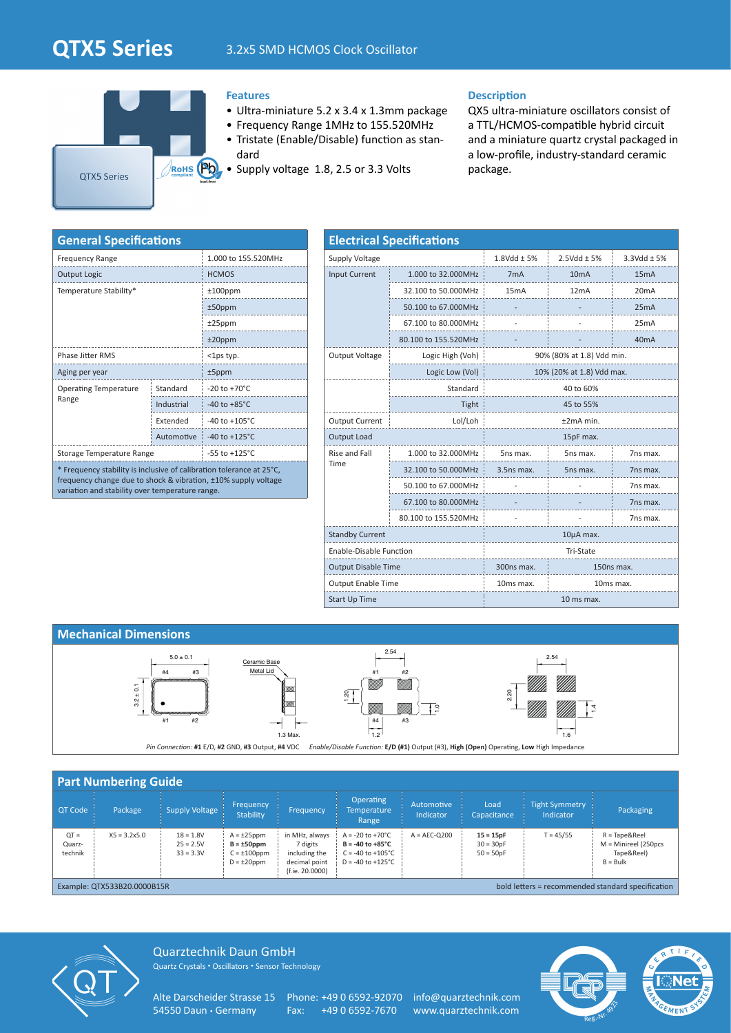# **QTX5 Series** 3.2x5 SMD HCMOS Clock Oscillator



### **Features**

- Ultra-miniature 5.2 x 3.4 x 1.3mm package
- Frequency Range 1MHz to 155.520MHz
- Tristate (Enable/Disable) function as standard
- Supply voltage 1.8, 2.5 or 3.3 Volts

#### **Description**

QX5 ultra-miniature oscillators consist of a TTL/HCMOS-compatible hybrid circuit and a miniature quartz crystal packaged in a low-profile, industry-standard ceramic package.

| <b>General Specifications</b>                                                                                                                                                             |                           |                           |  |  |  |  |  |
|-------------------------------------------------------------------------------------------------------------------------------------------------------------------------------------------|---------------------------|---------------------------|--|--|--|--|--|
| <b>Frequency Range</b>                                                                                                                                                                    | 1.000 to 155.520MHz       |                           |  |  |  |  |  |
| <b>Output Logic</b>                                                                                                                                                                       | <b>HCMOS</b>              |                           |  |  |  |  |  |
| Temperature Stability*                                                                                                                                                                    | $±100$ ppm                |                           |  |  |  |  |  |
|                                                                                                                                                                                           | $±50$ ppm                 |                           |  |  |  |  |  |
|                                                                                                                                                                                           | $±25$ ppm                 |                           |  |  |  |  |  |
|                                                                                                                                                                                           | $±20$ ppm                 |                           |  |  |  |  |  |
| <b>Phase Jitter RMS</b>                                                                                                                                                                   | <1ps typ.                 |                           |  |  |  |  |  |
| Aging per year                                                                                                                                                                            | $±5$ ppm                  |                           |  |  |  |  |  |
| <b>Operating Temperature</b><br>Range                                                                                                                                                     | Standard                  | $-20$ to $+70^{\circ}$ C  |  |  |  |  |  |
|                                                                                                                                                                                           | Industrial                | -40 to $+85^{\circ}$ C    |  |  |  |  |  |
|                                                                                                                                                                                           | Extended                  | $-40$ to $+105^{\circ}$ C |  |  |  |  |  |
|                                                                                                                                                                                           | $-40$ to $+125^{\circ}$ C |                           |  |  |  |  |  |
| Storage Temperature Range                                                                                                                                                                 | $-55$ to $+125^{\circ}$ C |                           |  |  |  |  |  |
| * Frequency stability is inclusive of calibration tolerance at 25°C,<br>frequency change due to shock & vibration, ±10% supply voltage<br>variation and stability over temperature range. |                           |                           |  |  |  |  |  |

| <b>Electrical Specifications</b> |                      |                        |                           |                    |  |  |  |  |  |
|----------------------------------|----------------------|------------------------|---------------------------|--------------------|--|--|--|--|--|
| Supply Voltage                   |                      | $1.8$ Vdd $\pm$ 5%     | $2.5Vdd \pm 5%$           | $3.3$ Vdd $\pm$ 5% |  |  |  |  |  |
| <b>Input Current</b>             | 1.000 to 32.000MHz   | 7 <sub>m</sub> A       | 10 <sub>m</sub> A         | 15mA               |  |  |  |  |  |
|                                  | 32.100 to 50.000MHz  | 15 <sub>m</sub> A      | 12mA                      | 20 <sub>m</sub> A  |  |  |  |  |  |
|                                  | 50.100 to 67.000MHz  |                        |                           | 25mA               |  |  |  |  |  |
|                                  | 67.100 to 80.000MHz  |                        |                           | 25mA               |  |  |  |  |  |
|                                  | 80.100 to 155.520MHz |                        |                           | 40 <sub>m</sub> A  |  |  |  |  |  |
| Output Voltage                   | Logic High (Voh)     |                        | 90% (80% at 1.8) Vdd min. |                    |  |  |  |  |  |
|                                  | Logic Low (Vol)      |                        | 10% (20% at 1.8) Vdd max. |                    |  |  |  |  |  |
|                                  | Standard             | 40 to 60%              |                           |                    |  |  |  |  |  |
|                                  | Tight                | 45 to 55%              |                           |                    |  |  |  |  |  |
| <b>Output Current</b>            | Lol/Loh              | ±2mA min.              |                           |                    |  |  |  |  |  |
| Output Load                      |                      | 15pF max.              |                           |                    |  |  |  |  |  |
| Rise and Fall                    | 1.000 to 32.000MHz   | 5ns max.               | 5ns max.                  | 7ns max.           |  |  |  |  |  |
| Time                             | 32.100 to 50.000MHz  | 3.5ns max.             | 5ns max.                  | 7ns max.           |  |  |  |  |  |
|                                  | 50.100 to 67.000MHz  |                        |                           | 7ns max.           |  |  |  |  |  |
|                                  | 67.100 to 80.000MHz  |                        |                           | 7ns max.           |  |  |  |  |  |
|                                  | 80.100 to 155.520MHz |                        |                           | 7ns max.           |  |  |  |  |  |
| <b>Standby Current</b>           |                      | $10\mu A$ max.         |                           |                    |  |  |  |  |  |
| Enable-Disable Function          |                      | <b>Tri-State</b>       |                           |                    |  |  |  |  |  |
| <b>Output Disable Time</b>       |                      | 300ns max.             | 150ns max.                |                    |  |  |  |  |  |
| <b>Output Enable Time</b>        |                      | 10ms max.<br>10ms max. |                           |                    |  |  |  |  |  |
| Start Up Time                    |                      | 10 ms max.             |                           |                    |  |  |  |  |  |

### **Mechanical Dimensions**



|                             | <b>Part Numbering Guide</b>                                                                      |                                           |                                                                               |                                                                                 |                                                                                                                       |                         |                                           |                                    |                                                                                          |
|-----------------------------|--------------------------------------------------------------------------------------------------|-------------------------------------------|-------------------------------------------------------------------------------|---------------------------------------------------------------------------------|-----------------------------------------------------------------------------------------------------------------------|-------------------------|-------------------------------------------|------------------------------------|------------------------------------------------------------------------------------------|
| OT Code                     | Package                                                                                          | <b>Supply Voltage</b>                     | Frequency<br>Stability                                                        | Frequency                                                                       | <b>Operating</b><br>Temperature<br>Range                                                                              | Automotive<br>Indicator | Load<br>Capacitance                       | <b>Tight Symmetry</b><br>Indicator | Packaging                                                                                |
| $QT =$<br>Quarz-<br>technik | $X5 = 3.2x5.0$                                                                                   | $18 = 1.8V$<br>$25 = 2.5V$<br>$33 = 3.3V$ | $A = \pm 25$ ppm<br>$B = \pm 50$ ppm<br>$C = \pm 100$ ppm<br>$D = \pm 20$ ppm | in MHz, always<br>7 digits<br>including the<br>decimal point<br>(f.ie. 20.0000) | $A = -20$ to $+70^{\circ}$ C<br>$B = -40$ to $+85^{\circ}C$<br>$C = -40$ to $+105^{\circ}C$<br>$D = -40$ to $+125$ °C | $A = AEC-O200$          | $15 = 15pF$<br>$30 = 30pF$<br>$50 = 50pF$ | $T = 45/55$                        | $R = \text{Tape&\text{Reel}}$<br>$M =$ Minireel (250pcs<br>Tape&Reel)<br>$B = Bulk$      |
|                             | $F_{\text{total}}$ $\sim$ $F_{\text{total}}$ $\sim$ $F_{\text{total}}$ $\sim$ $F_{\text{total}}$ |                                           |                                                                               |                                                                                 |                                                                                                                       |                         |                                           |                                    | أراحت فكمست فكرفو مرامون المتوسط مستقيم المسامر مستسمين ومستند والمستقيم والمالي المرابط |

Example: QTX533B20.0000B15R bold letters = recommended standard specification



Quarztechnik Daun GmbH Quartz Crystals • Oscillators • Sensor Technology

Alte Darscheider Strasse 15 Phone: +49 0 6592-92070 info@quarztechnik.com 54550 Daun • Germany Fax: +49 0 6592-7670 www.quarztechnik.com